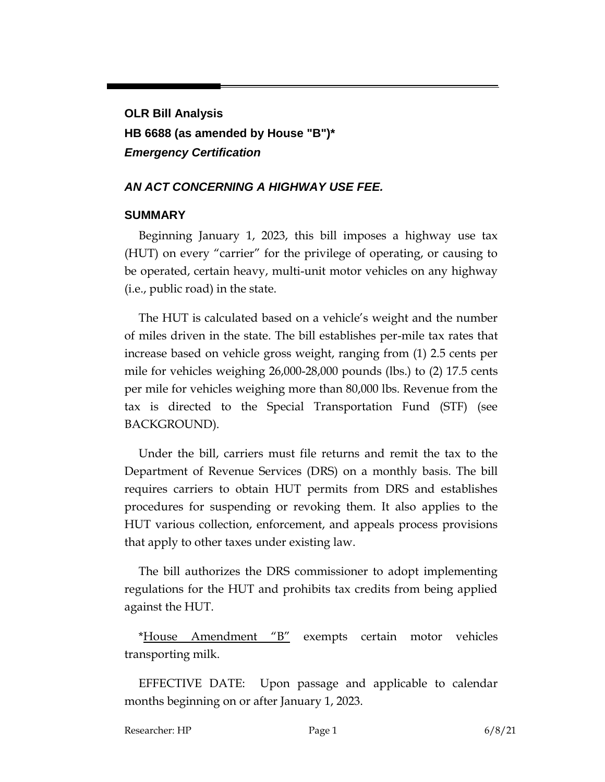# **OLR Bill Analysis HB 6688 (as amended by House "B")\*** *Emergency Certification*

#### *AN ACT CONCERNING A HIGHWAY USE FEE.*

#### **SUMMARY**

Beginning January 1, 2023, this bill imposes a highway use tax (HUT) on every "carrier" for the privilege of operating, or causing to be operated, certain heavy, multi-unit motor vehicles on any highway (i.e., public road) in the state.

The HUT is calculated based on a vehicle's weight and the number of miles driven in the state. The bill establishes per-mile tax rates that increase based on vehicle gross weight, ranging from (1) 2.5 cents per mile for vehicles weighing 26,000-28,000 pounds (lbs.) to (2) 17.5 cents per mile for vehicles weighing more than 80,000 lbs. Revenue from the tax is directed to the Special Transportation Fund (STF) (see BACKGROUND).

Under the bill, carriers must file returns and remit the tax to the Department of Revenue Services (DRS) on a monthly basis. The bill requires carriers to obtain HUT permits from DRS and establishes procedures for suspending or revoking them. It also applies to the HUT various collection, enforcement, and appeals process provisions that apply to other taxes under existing law.

The bill authorizes the DRS commissioner to adopt implementing regulations for the HUT and prohibits tax credits from being applied against the HUT.

\*House Amendment "B" exempts certain motor vehicles transporting milk.

EFFECTIVE DATE: Upon passage and applicable to calendar months beginning on or after January 1, 2023.

Researcher: HP Page 1 6/8/21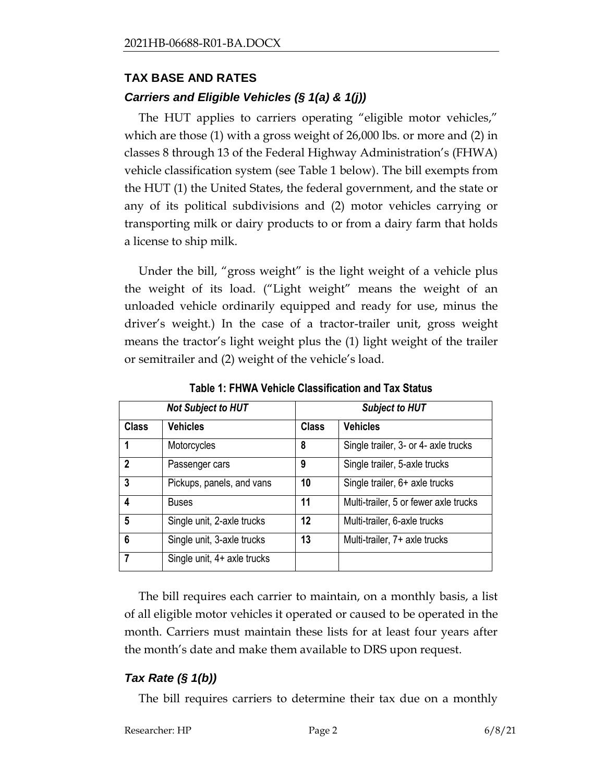# **TAX BASE AND RATES**

### *Carriers and Eligible Vehicles (§ 1(a) & 1(j))*

The HUT applies to carriers operating "eligible motor vehicles," which are those (1) with a gross weight of 26,000 lbs. or more and (2) in classes 8 through 13 of the Federal Highway Administration's (FHWA) vehicle classification system (see Table 1 below). The bill exempts from the HUT (1) the United States, the federal government, and the state or any of its political subdivisions and (2) motor vehicles carrying or transporting milk or dairy products to or from a dairy farm that holds a license to ship milk.

Under the bill, "gross weight" is the light weight of a vehicle plus the weight of its load. ("Light weight" means the weight of an unloaded vehicle ordinarily equipped and ready for use, minus the driver's weight.) In the case of a tractor-trailer unit, gross weight means the tractor's light weight plus the (1) light weight of the trailer or semitrailer and (2) weight of the vehicle's load.

| <b>Not Subject to HUT</b> |                             | <b>Subject to HUT</b> |                                       |
|---------------------------|-----------------------------|-----------------------|---------------------------------------|
| <b>Class</b>              | <b>Vehicles</b>             | <b>Class</b>          | <b>Vehicles</b>                       |
| 1                         | Motorcycles                 | 8                     | Single trailer, 3- or 4- axle trucks  |
| $\mathbf{2}$              | Passenger cars              | 9                     | Single trailer, 5-axle trucks         |
| 3                         | Pickups, panels, and vans   | 10                    | Single trailer, 6+ axle trucks        |
| 4                         | <b>Buses</b>                | 11                    | Multi-trailer, 5 or fewer axle trucks |
| 5                         | Single unit, 2-axle trucks  | 12                    | Multi-trailer, 6-axle trucks          |
| 6                         | Single unit, 3-axle trucks  | 13                    | Multi-trailer, 7+ axle trucks         |
|                           | Single unit, 4+ axle trucks |                       |                                       |

**Table 1: FHWA Vehicle Classification and Tax Status**

The bill requires each carrier to maintain, on a monthly basis, a list of all eligible motor vehicles it operated or caused to be operated in the month. Carriers must maintain these lists for at least four years after the month's date and make them available to DRS upon request.

# *Tax Rate (§ 1(b))*

The bill requires carriers to determine their tax due on a monthly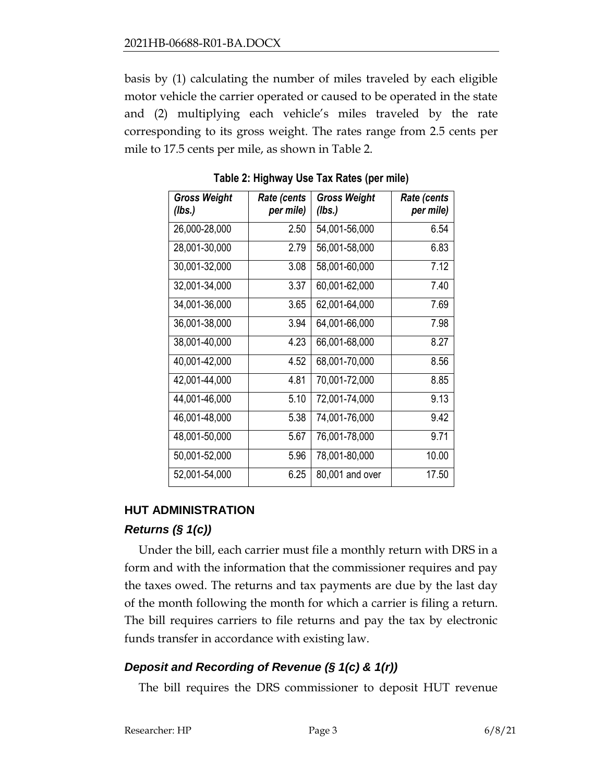basis by (1) calculating the number of miles traveled by each eligible motor vehicle the carrier operated or caused to be operated in the state and (2) multiplying each vehicle's miles traveled by the rate corresponding to its gross weight. The rates range from 2.5 cents per mile to 17.5 cents per mile, as shown in Table 2.

| <b>Gross Weight</b><br>(lbs.) | Rate (cents<br>per mile) | <b>Gross Weight</b><br>(lbs.) | <b>Rate (cents</b><br>per mile) |
|-------------------------------|--------------------------|-------------------------------|---------------------------------|
| 26,000-28,000                 | 2.50                     | 54,001-56,000                 | 6.54                            |
| 28,001-30,000                 | 2.79                     | 56,001-58,000                 | 6.83                            |
| 30,001-32,000                 | 3.08                     | 58,001-60,000                 | 7.12                            |
| 32,001-34,000                 | 3.37                     | 60,001-62,000                 | 7.40                            |
| 34,001-36,000                 | 3.65                     | 62,001-64,000                 | 7.69                            |
| 36,001-38,000                 | 3.94                     | 64,001-66,000                 | 7.98                            |
| 38,001-40,000                 | 4.23                     | 66,001-68,000                 | 8.27                            |
| 40,001-42,000                 | 4.52                     | 68,001-70,000                 | 8.56                            |
| 42,001-44,000                 | 4.81                     | 70,001-72,000                 | 8.85                            |
| 44,001-46,000                 | 5.10                     | 72,001-74,000                 | 9.13                            |
| 46,001-48,000                 | 5.38                     | 74,001-76,000                 | 9.42                            |
| 48,001-50,000                 | 5.67                     | 76,001-78,000                 | 9.71                            |
| 50,001-52,000                 | 5.96                     | 78,001-80,000                 | 10.00                           |
| 52,001-54,000                 | 6.25                     | 80,001 and over               | 17.50                           |

**Table 2: Highway Use Tax Rates (per mile)**

# **HUT ADMINISTRATION**

# *Returns (§ 1(c))*

Under the bill, each carrier must file a monthly return with DRS in a form and with the information that the commissioner requires and pay the taxes owed. The returns and tax payments are due by the last day of the month following the month for which a carrier is filing a return. The bill requires carriers to file returns and pay the tax by electronic funds transfer in accordance with existing law.

# *Deposit and Recording of Revenue (§ 1(c) & 1(r))*

The bill requires the DRS commissioner to deposit HUT revenue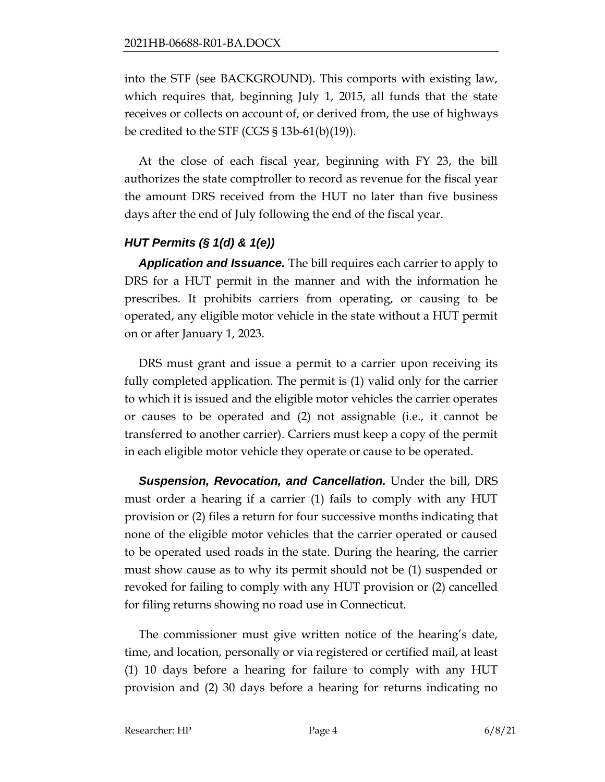into the STF (see BACKGROUND). This comports with existing law, which requires that, beginning July 1, 2015, all funds that the state receives or collects on account of, or derived from, the use of highways be credited to the STF (CGS § 13b-61(b)(19)).

At the close of each fiscal year, beginning with FY 23, the bill authorizes the state comptroller to record as revenue for the fiscal year the amount DRS received from the HUT no later than five business days after the end of July following the end of the fiscal year.

# *HUT Permits (§ 1(d) & 1(e))*

*Application and Issuance.* The bill requires each carrier to apply to DRS for a HUT permit in the manner and with the information he prescribes. It prohibits carriers from operating, or causing to be operated, any eligible motor vehicle in the state without a HUT permit on or after January 1, 2023.

DRS must grant and issue a permit to a carrier upon receiving its fully completed application. The permit is (1) valid only for the carrier to which it is issued and the eligible motor vehicles the carrier operates or causes to be operated and (2) not assignable (i.e., it cannot be transferred to another carrier). Carriers must keep a copy of the permit in each eligible motor vehicle they operate or cause to be operated.

*Suspension, Revocation, and Cancellation.* Under the bill, DRS must order a hearing if a carrier (1) fails to comply with any HUT provision or (2) files a return for four successive months indicating that none of the eligible motor vehicles that the carrier operated or caused to be operated used roads in the state. During the hearing, the carrier must show cause as to why its permit should not be (1) suspended or revoked for failing to comply with any HUT provision or (2) cancelled for filing returns showing no road use in Connecticut.

The commissioner must give written notice of the hearing's date, time, and location, personally or via registered or certified mail, at least (1) 10 days before a hearing for failure to comply with any HUT provision and (2) 30 days before a hearing for returns indicating no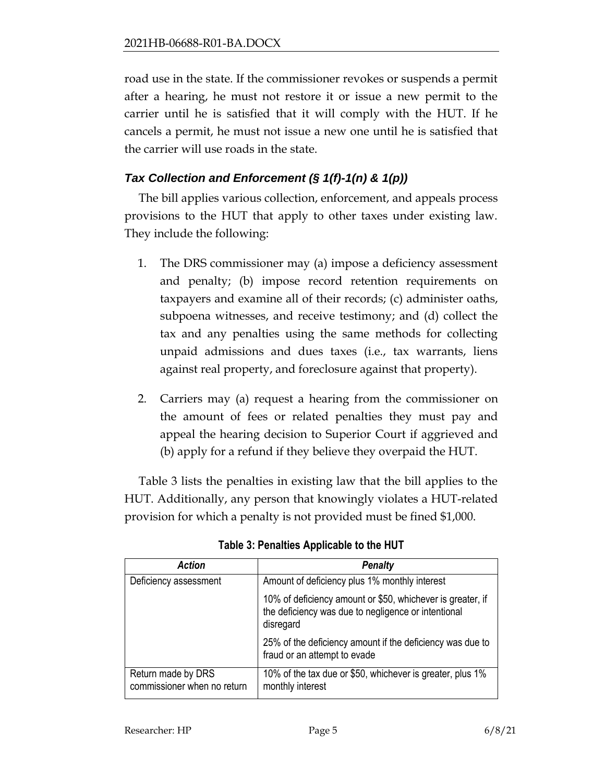road use in the state. If the commissioner revokes or suspends a permit after a hearing, he must not restore it or issue a new permit to the carrier until he is satisfied that it will comply with the HUT. If he cancels a permit, he must not issue a new one until he is satisfied that the carrier will use roads in the state.

### *Tax Collection and Enforcement (§ 1(f)-1(n) & 1(p))*

The bill applies various collection, enforcement, and appeals process provisions to the HUT that apply to other taxes under existing law. They include the following:

- 1. The DRS commissioner may (a) impose a deficiency assessment and penalty; (b) impose record retention requirements on taxpayers and examine all of their records; (c) administer oaths, subpoena witnesses, and receive testimony; and (d) collect the tax and any penalties using the same methods for collecting unpaid admissions and dues taxes (i.e., tax warrants, liens against real property, and foreclosure against that property).
- 2. Carriers may (a) request a hearing from the commissioner on the amount of fees or related penalties they must pay and appeal the hearing decision to Superior Court if aggrieved and (b) apply for a refund if they believe they overpaid the HUT.

Table 3 lists the penalties in existing law that the bill applies to the HUT. Additionally, any person that knowingly violates a HUT-related provision for which a penalty is not provided must be fined \$1,000.

| <b>Action</b>                                     | <b>Penalty</b>                                                                                                                 |
|---------------------------------------------------|--------------------------------------------------------------------------------------------------------------------------------|
| Deficiency assessment                             | Amount of deficiency plus 1% monthly interest                                                                                  |
|                                                   | 10% of deficiency amount or \$50, whichever is greater, if<br>the deficiency was due to negligence or intentional<br>disregard |
|                                                   | 25% of the deficiency amount if the deficiency was due to<br>fraud or an attempt to evade                                      |
| Return made by DRS<br>commissioner when no return | 10% of the tax due or \$50, whichever is greater, plus 1%<br>monthly interest                                                  |

**Table 3: Penalties Applicable to the HUT**